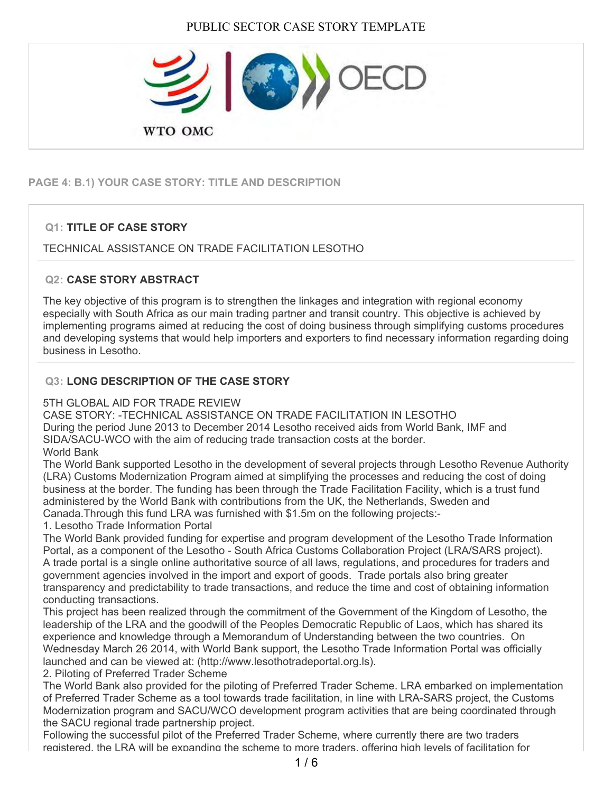

# **PAGE 4: B.1) YOUR CASE STORY: TITLE AND DESCRIPTION**

## **Q1: TITLE OF CASE STORY**

#### TECHNICAL ASSISTANCE ON TRADE FACILITATION LESOTHO

#### **Q2: CASE STORY ABSTRACT**

The key objective of this program is to strengthen the linkages and integration with regional economy especially with South Africa as our main trading partner and transit country. This objective is achieved by implementing programs aimed at reducing the cost of doing business through simplifying customs procedures and developing systems that would help importers and exporters to find necessary information regarding doing business in Lesotho.

#### **Q3: LONG DESCRIPTION OF THE CASE STORY**

#### 5TH GLOBAL AID FOR TRADE REVIEW

CASE STORY: -TECHNICAL ASSISTANCE ON TRADE FACILITATION IN LESOTHO During the period June 2013 to December 2014 Lesotho received aids from World Bank, IMF and SIDA/SACU-WCO with the aim of reducing trade transaction costs at the border. World Bank

The World Bank supported Lesotho in the development of several projects through Lesotho Revenue Authority (LRA) Customs Modernization Program aimed at simplifying the processes and reducing the cost of doing business at the border. The funding has been through the Trade Facilitation Facility, which is a trust fund administered by the World Bank with contributions from the UK, the Netherlands, Sweden and Canada.Through this fund LRA was furnished with \$1.5m on the following projects:-

1. Lesotho Trade Information Portal

The World Bank provided funding for expertise and program development of the Lesotho Trade Information Portal, as a component of the Lesotho - South Africa Customs Collaboration Project (LRA/SARS project). A trade portal is a single online authoritative source of all laws, regulations, and procedures for traders and government agencies involved in the import and export of goods. Trade portals also bring greater transparency and predictability to trade transactions, and reduce the time and cost of obtaining information conducting transactions.

This project has been realized through the commitment of the Government of the Kingdom of Lesotho, the leadership of the LRA and the goodwill of the Peoples Democratic Republic of Laos, which has shared its experience and knowledge through a Memorandum of Understanding between the two countries. On Wednesday March 26 2014, with World Bank support, the Lesotho Trade Information Portal was officially launched and can be viewed at: (http://www.lesothotradeportal.org.ls).

2. Piloting of Preferred Trader Scheme

The World Bank also provided for the piloting of Preferred Trader Scheme. LRA embarked on implementation of Preferred Trader Scheme as a tool towards trade facilitation, in line with LRA-SARS project, the Customs Modernization program and SACU/WCO development program activities that are being coordinated through the SACU regional trade partnership project.

Following the successful pilot of the Preferred Trader Scheme, where currently there are two traders registered, the LRA will be expanding the scheme to more traders, offering high levels of facilitation for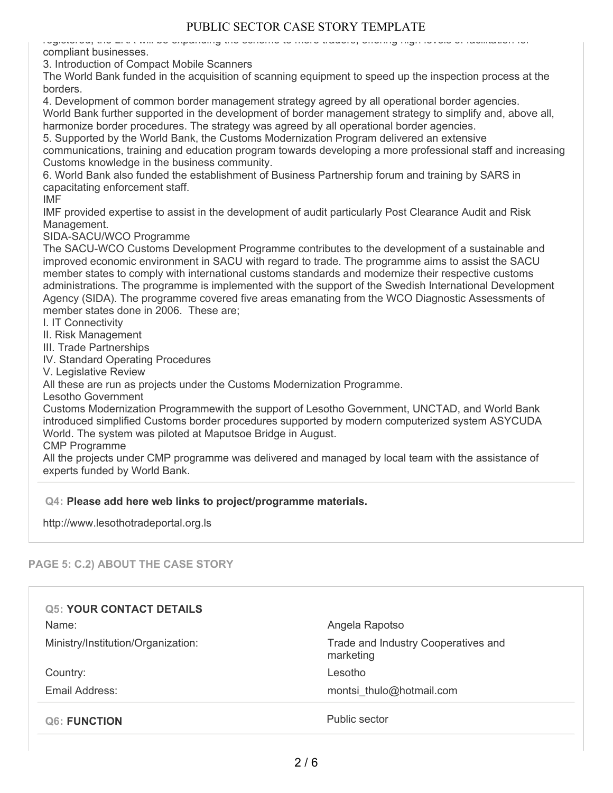#### registered, the LRA will be expanding the scheme to more traders, offering high levels of facilitation for compliant businesses.

3. Introduction of Compact Mobile Scanners

The World Bank funded in the acquisition of scanning equipment to speed up the inspection process at the borders.

4. Development of common border management strategy agreed by all operational border agencies.

World Bank further supported in the development of border management strategy to simplify and, above all, harmonize border procedures. The strategy was agreed by all operational border agencies.

5. Supported by the World Bank, the Customs Modernization Program delivered an extensive communications, training and education program towards developing a more professional staff and increasing Customs knowledge in the business community.

6. World Bank also funded the establishment of Business Partnership forum and training by SARS in capacitating enforcement staff.

IMF

IMF provided expertise to assist in the development of audit particularly Post Clearance Audit and Risk Management.

SIDA-SACU/WCO Programme

The SACU-WCO Customs Development Programme contributes to the development of a sustainable and improved economic environment in SACU with regard to trade. The programme aims to assist the SACU member states to comply with international customs standards and modernize their respective customs administrations. The programme is implemented with the support of the Swedish International Development Agency (SIDA). The programme covered five areas emanating from the WCO Diagnostic Assessments of member states done in 2006. These are;

I. IT Connectivity

II. Risk Management

III. Trade Partnerships

IV. Standard Operating Procedures

V. Legislative Review

All these are run as projects under the Customs Modernization Programme.

Lesotho Government

Customs Modernization Programmewith the support of Lesotho Government, UNCTAD, and World Bank introduced simplified Customs border procedures supported by modern computerized system ASYCUDA World. The system was piloted at Maputsoe Bridge in August.

CMP Programme

All the projects under CMP programme was delivered and managed by local team with the assistance of experts funded by World Bank.

#### **Q4: Please add here web links to project/programme materials.**

http://www.lesothotradeportal.org.ls

## **PAGE 5: C.2) ABOUT THE CASE STORY**

| <b>Q5: YOUR CONTACT DETAILS</b>    |                                                  |
|------------------------------------|--------------------------------------------------|
| Name:                              | Angela Rapotso                                   |
| Ministry/Institution/Organization: | Trade and Industry Cooperatives and<br>marketing |
| Country:                           | Lesotho                                          |
| Email Address:                     | montsi thulo@hotmail.com                         |
| <b>Q6: FUNCTION</b>                | Public sector                                    |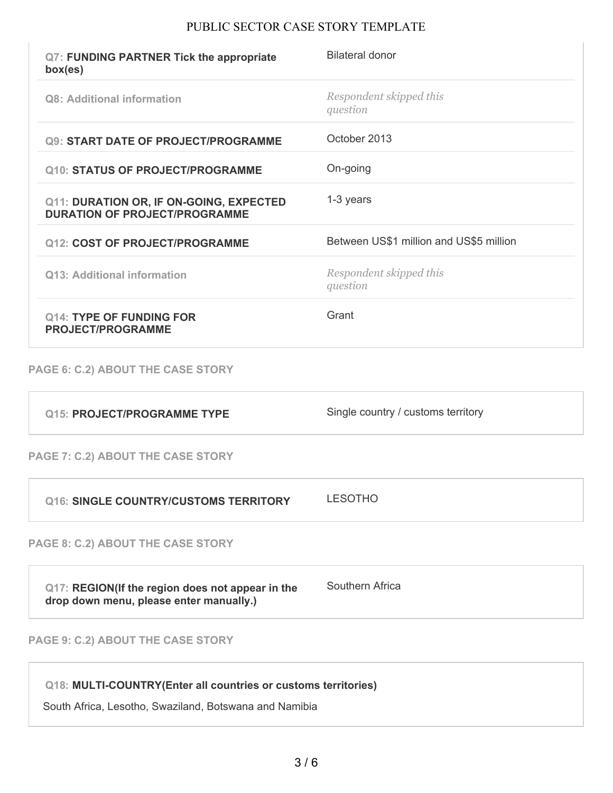| Q7: FUNDING PARTNER Tick the appropriate<br>box(es)                                         | <b>Bilateral donor</b>                  |
|---------------------------------------------------------------------------------------------|-----------------------------------------|
| <b>Q8: Additional information</b>                                                           | Respondent skipped this<br>question     |
| <b>Q9: START DATE OF PROJECT/PROGRAMME</b>                                                  | October 2013                            |
| <b>Q10: STATUS OF PROJECT/PROGRAMME</b>                                                     | On-going                                |
| Q11: DURATION OR, IF ON-GOING, EXPECTED<br><b>DURATION OF PROJECT/PROGRAMME</b>             | 1-3 years                               |
| <b>Q12: COST OF PROJECT/PROGRAMME</b>                                                       | Between US\$1 million and US\$5 million |
| <b>Q13: Additional information</b>                                                          | Respondent skipped this<br>question     |
| <b>Q14: TYPE OF FUNDING FOR</b><br><b>PROJECT/PROGRAMME</b>                                 | Grant                                   |
| PAGE 6: C.2) ABOUT THE CASE STORY                                                           |                                         |
| <b>Q15: PROJECT/PROGRAMME TYPE</b>                                                          | Single country / customs territory      |
| PAGE 7: C.2) ABOUT THE CASE STORY                                                           |                                         |
| <b>Q16: SINGLE COUNTRY/CUSTOMS TERRITORY</b>                                                | <b>LESOTHO</b>                          |
| PAGE 8: C.2) ABOUT THE CASE STORY                                                           |                                         |
| Q17: REGION(If the region does not appear in the<br>drop down menu, please enter manually.) | Southern Africa                         |
| PAGE 9: C.2) ABOUT THE CASE STORY                                                           |                                         |

**Q18: MULTI-COUNTRY(Enter all countries or customs territories)**

South Africa, Lesotho, Swaziland, Botswana and Namibia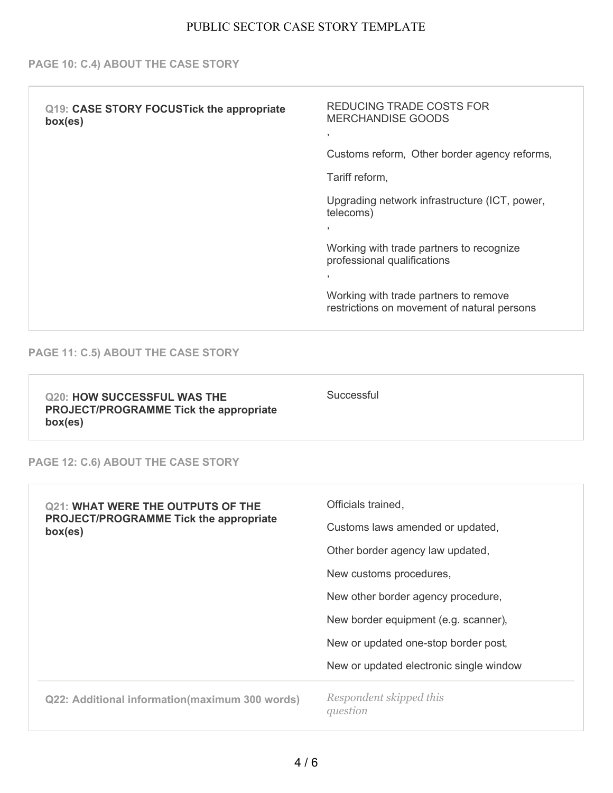#### **PAGE 10: C.4) ABOUT THE CASE STORY**

| Q19: CASE STORY FOCUSTick the appropriate<br>box(es) | REDUCING TRADE COSTS FOR<br><b>MERCHANDISE GOODS</b><br>$\overline{ }$<br>Customs reform, Other border agency reforms,<br>Tariff reform,                        |
|------------------------------------------------------|-----------------------------------------------------------------------------------------------------------------------------------------------------------------|
|                                                      | Upgrading network infrastructure (ICT, power,<br>telecoms)<br>$\overline{1}$                                                                                    |
|                                                      | Working with trade partners to recognize<br>professional qualifications<br>Working with trade partners to remove<br>restrictions on movement of natural persons |
|                                                      |                                                                                                                                                                 |

#### **PAGE 11: C.5) ABOUT THE CASE STORY**

**Q20: HOW SUCCESSFUL WAS THE PROJECT/PROGRAMME Tick the appropriate box(es)**

**Successful** 

#### **PAGE 12: C.6) ABOUT THE CASE STORY**

| <b>Q21: WHAT WERE THE OUTPUTS OF THE</b><br><b>PROJECT/PROGRAMME Tick the appropriate</b><br>box(es) | Officials trained,<br>Customs laws amended or updated, |
|------------------------------------------------------------------------------------------------------|--------------------------------------------------------|
|                                                                                                      | Other border agency law updated,                       |
|                                                                                                      | New customs procedures,                                |
|                                                                                                      | New other border agency procedure,                     |
|                                                                                                      | New border equipment (e.g. scanner),                   |
|                                                                                                      | New or updated one-stop border post,                   |
|                                                                                                      | New or updated electronic single window                |
| Q22: Additional information (maximum 300 words)                                                      | Respondent skipped this<br>question                    |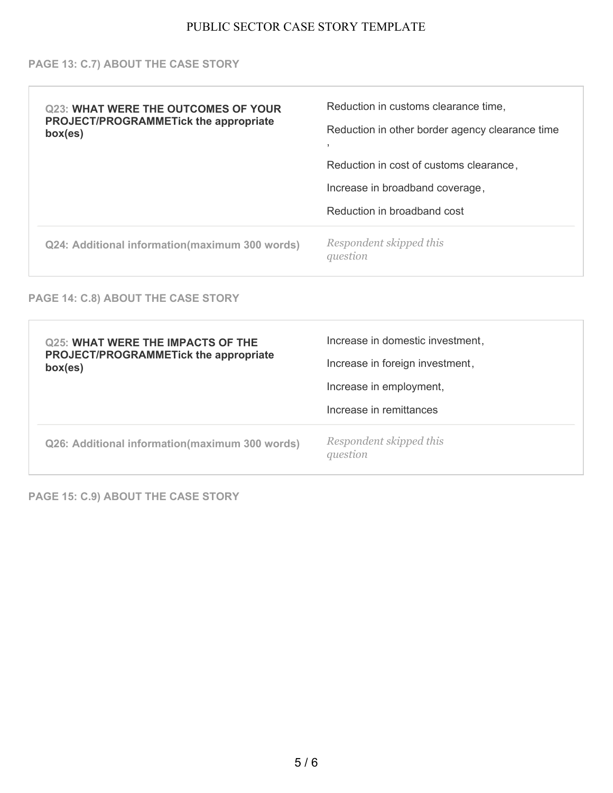#### **PAGE 13: C.7) ABOUT THE CASE STORY**

| <b>Q23: WHAT WERE THE OUTCOMES OF YOUR</b><br><b>PROJECT/PROGRAMMETick the appropriate</b><br>box(es) | Reduction in customs clearance time,<br>Reduction in other border agency clearance time |
|-------------------------------------------------------------------------------------------------------|-----------------------------------------------------------------------------------------|
|                                                                                                       | Reduction in cost of customs clearance,                                                 |
|                                                                                                       | Increase in broadband coverage,                                                         |
|                                                                                                       | Reduction in broadband cost                                                             |
| Q24: Additional information(maximum 300 words)                                                        | Respondent skipped this<br>question                                                     |

### **PAGE 14: C.8) ABOUT THE CASE STORY**

| <b>Q25: WHAT WERE THE IMPACTS OF THE</b><br><b>PROJECT/PROGRAMMETick the appropriate</b><br>box(es) | Increase in domestic investment,<br>Increase in foreign investment,<br>Increase in employment,<br>Increase in remittances |
|-----------------------------------------------------------------------------------------------------|---------------------------------------------------------------------------------------------------------------------------|
| Q26: Additional information (maximum 300 words)                                                     | Respondent skipped this<br>question                                                                                       |

**PAGE 15: C.9) ABOUT THE CASE STORY**